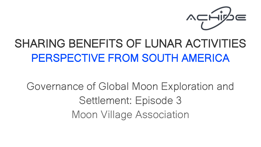

# SHARING BENEFITS OF LUNAR ACTIVITIES PERSPECTIVE FROM SOUTH AMERICA

Governance of Global Moon Exploration and Settlement: Episode 3 Moon Village Association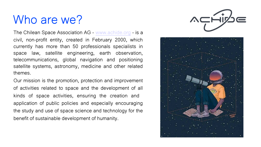# Who are we?

The Chilean Space Association AG - [www.achide.org](http://www.achide.org/) - is a civil, non-profit entity, created in February 2000, which currently has more than 50 professionals specialists in space law, satellite engineering, earth observation, telecommunications, global navigation and positioning satellite systems, astronomy, medicine and other related themes.

Our mission is the promotion, protection and improvement of activities related to space and the development of all kinds of space activities, ensuring the creation and application of public policies and especially encouraging the study and use of space science and technology for the benefit of sustainable development of humanity.



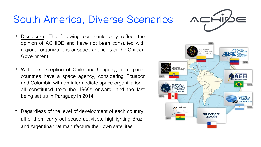### South America, Diverse Scenarios

- Disclosure: The following comments only reflect the opinion of ACHIDE and have not been consulted with regional organizations or space agencies or the Chilean Government.
- With the exception of Chile and Uruguay, all regional countries have a space agency, considering Ecuador and Colombia with an intermediate space organization – all constituted from the 1960s onward, and the last being set up in Paraguay in 2014.
- Regardless of the level of development of each country, all of them carry out space activities, highlighting Brazil and Argentina that manufacture their own satellites



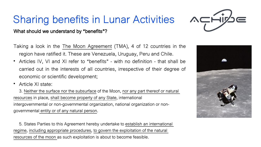## Sharing benefits in Lunar Activities

What should we understand by "benefits"?

Taking a look in the The Moon Agreement (TMA), 4 of 12 countries in the region have ratified it. These are Venezuela, Uruguay, Peru and Chile.

- Articles IV, VI and XI refer to "benefits" with no definition that shall be carried out in the interests of all countries, irrespective of their degree of economic or scientific development;
- Article XI state:

3. Neither the surface nor the subsurface of the Moon, nor any part thereof or natural resources in place, shall become property of any State, international intergovernmental or non-governmental organization, national organization or nongovernmental entity or of any natural person.

5. States Parties to this Agreement hereby undertake to establish an international regime, including appropriate procedures, to govern the exploitation of the natural resources of the moon as such exploitation is about to become feasible.



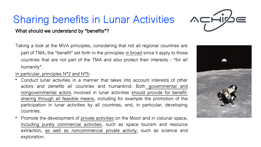# Sharing benefits in Lunar Activities



#### What should we understand by "benefits"?

Taking a look at the MVA principles, considering that not all regional countries are part of TMA, the "benefit" set forth in the principles is broad since it apply to those countries that are not part of the TMA and also protect their interests – "for all humanity".

#### In particular, principles N°2 and N°5:

- Conduct lunar activities in a manner that takes into account interests of other actors and benefits all countries and humankind. Both governmental and nongovernmental actors involved in lunar activities should provide for benefitsharing through all feasible means, including for example the promotion of the participation in lunar activities by all countries, and, in particular, developing countries.
- Promote the development of private activities on the Moon and in cislunar space, including purely commercial activities, such as space tourism and resource extraction, as well as noncommercial private activity, such as science and exploration.

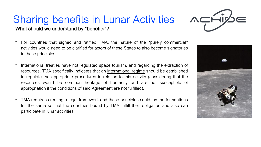### Sharing benefits in Lunar Activities What should we understand by "benefits"?

- For countries that signed and ratified TMA, the nature of the "purely commercial" activities would need to be clarified for actors of these States to also become signatories to these principles.
- International treaties have not regulated space tourism, and regarding the extraction of resources, TMA specifically indicates that an international regime should be established to regulate the appropriate procedures in relation to this activity (considering that the resources would be common heritage of humanity and are not susceptible of appropriation if the conditions of said Agreement are not fulfilled).
- TMA requires creating a legal framework and these principles could lay the foundations for the same so that the countries bound by TMA fulfill their obligation and also can participate in lunar activities.



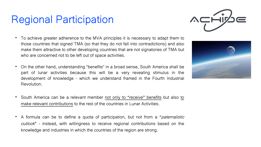### Regional Participation

- To achieve greater adherence to the MVA principles it is necessary to adapt them to those countries that signed TMA (so that they do not fall into contradictions) and also make them attractive to other developing countries that are not signatories of TMA but who are concerned not to be left out of space activities.
- On the other hand, understanding "benefits" in a broad sense, South America shall be part of lunar activities because this will be a very revealing stimulus in the development of knowledge - which we understand framed in the Fourth Industrial Revolution.
- South America can be a relevant member not only to "receive" benefits but also to make relevant contributions to the rest of the countries in Lunar Activities.
- A formula can be to define a quota of participation, but not from a "*paternalistic* outlook" - instead, with willingness to receive regional contributions based on the knowledge and industries in which the countries of the region are strong.